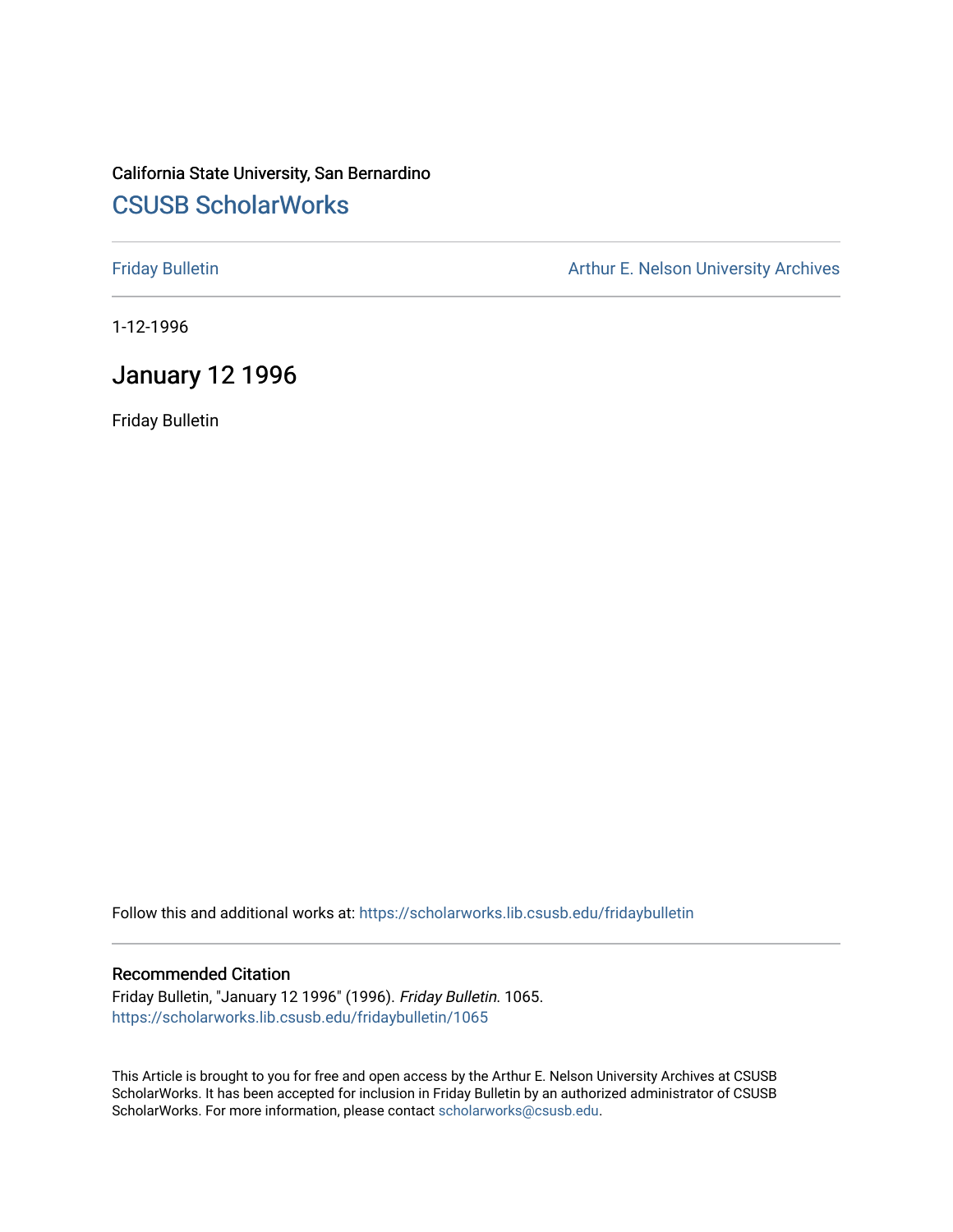# California State University, San Bernardino [CSUSB ScholarWorks](https://scholarworks.lib.csusb.edu/)

[Friday Bulletin](https://scholarworks.lib.csusb.edu/fridaybulletin) **Arthur E. Nelson University Archives** Arthur E. Nelson University Archives

1-12-1996

# January 12 1996

Friday Bulletin

Follow this and additional works at: [https://scholarworks.lib.csusb.edu/fridaybulletin](https://scholarworks.lib.csusb.edu/fridaybulletin?utm_source=scholarworks.lib.csusb.edu%2Ffridaybulletin%2F1065&utm_medium=PDF&utm_campaign=PDFCoverPages)

#### Recommended Citation

Friday Bulletin, "January 12 1996" (1996). Friday Bulletin. 1065. [https://scholarworks.lib.csusb.edu/fridaybulletin/1065](https://scholarworks.lib.csusb.edu/fridaybulletin/1065?utm_source=scholarworks.lib.csusb.edu%2Ffridaybulletin%2F1065&utm_medium=PDF&utm_campaign=PDFCoverPages) 

This Article is brought to you for free and open access by the Arthur E. Nelson University Archives at CSUSB ScholarWorks. It has been accepted for inclusion in Friday Bulletin by an authorized administrator of CSUSB ScholarWorks. For more information, please contact [scholarworks@csusb.edu.](mailto:scholarworks@csusb.edu)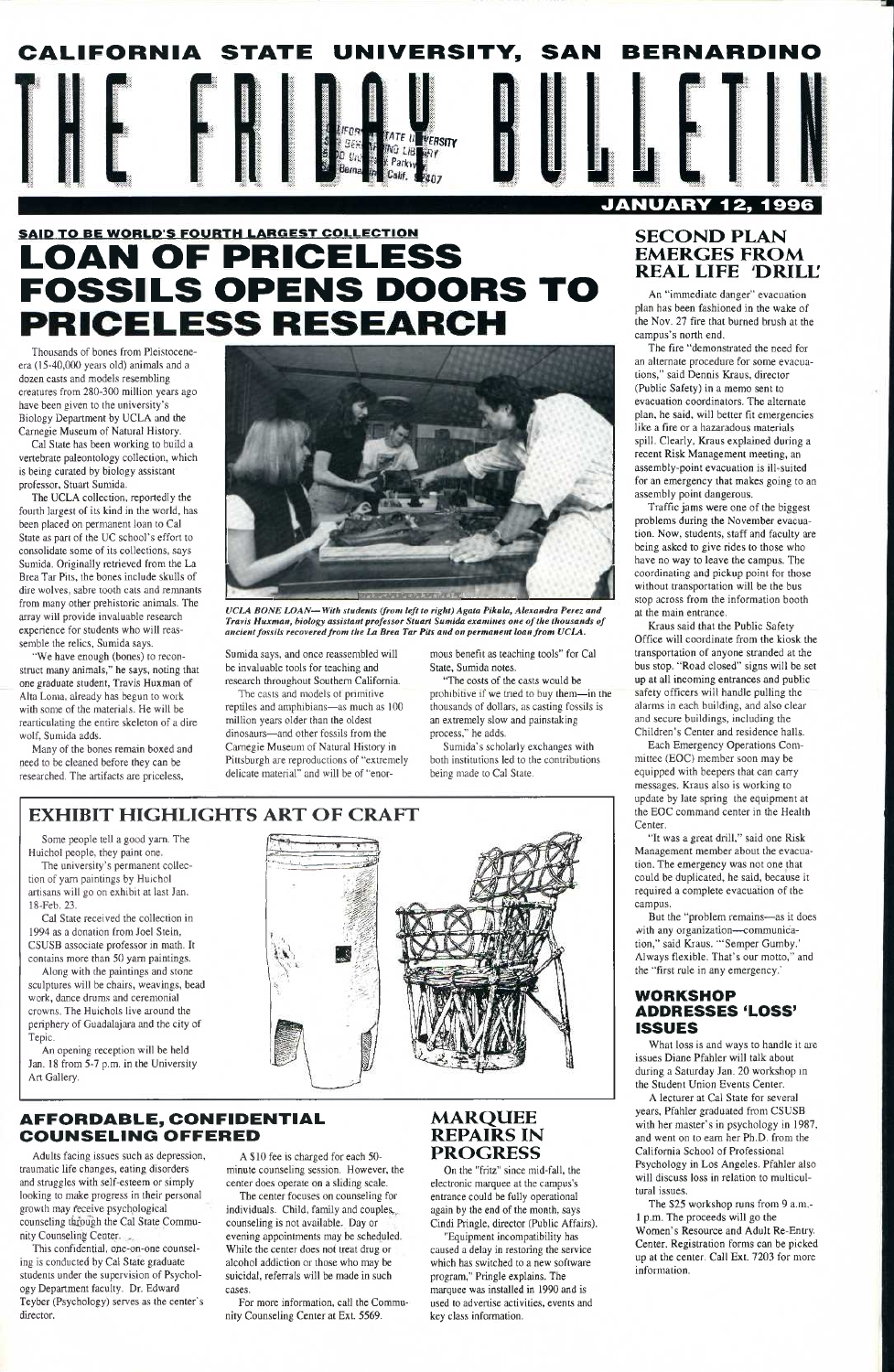

# SAID TO BE WORLD'S FOURTH LARGEST COLLECTION **LOAN OF PRICELESS FOSSILS OPENS DOORS TO**

Cal State has been working to build a vertebrate paleontology collection, which is being curated by biology assistant professor, Stuart Sumida.

Thousands of bones from Pleistoceneera (15-40,000 years old) animals and a dozen casts and models resembling creatures from 280-300 million years ago have been given to the university's Biology Department by UCLA and the Carnegie Museum of Natural History.

The UCLA collection, reportedly the fourth largest of its kind in the world, has been placed on permanent loan to Cal State as part of the UC school's effort to consolidate some of its collections, says Sumida. Originally retrieved from the La BreaTar Pits, the bones include skulls of dire wolves, sabre tooth cats and remnants from many other prehistoric animals. The array will provide invaluable research experience for students who will reassemble the relics, Sumida says.

"We have enough (bones) to reconstruct many animals," he says, noting that one graduate student, Travis Huxman of Alta Loma, already has begun to work with some of the materials. He will be rearticulating the entire skeleton of a dire wolf, Sumida adds.

Sumida's scholarly exchanges with both institutions led to the contributions being made to Cal State.

Many of the bones remain boxed and need to be cleaned before they can be researched. The artifacts are priceless.



*UCLA BONE LOAN—With students (from left to right) Agata Pikula, Alexandra Perez and Travis Huxman, biology assistant professor Stuart Sumida examines one of the thousands of ancient fossils recovered from the La Brea Tar Pits and on permanent loan from UCLA.* 

Sumida says, and once reassembled will be invaluable tools for teaching and research throughout Southern California.

The casts and models ot primitive reptiles and amphibians—as much as 100 million years older than the oldest dinosaurs—and other fossils from the Carnegie Museum of Natural History in Pittsburgh are reproductions of "extremely delicate material" and will be of "enormous benefit as teaching tools" for Cal State, Sumida notes.

"The costs of the casts would be prohibitive if we tned to buy them—in the thousands of dollars, as casting fossils is an extremely slow and painstaking process," he adds.

# **EXHIBIT HIGHLIGHTS ART OF CRAFT**

Some people tell a good yam. The Huichol people, they paint one.

The university's permanent collection of yam paintings by Huichol artisans will go on exhibit at last Jan. 18-Feb. 23.

Cal State received the collection in 1994 as a donation from Joel Stein, CSUSB associate professor in math. It contains more than 50 yam paintings.

Along with the paintings and stone sculptures will be chairs, weavings, bead work, dance drums and ceremonial crowns. The Huichols live around the periphery of Guadalajara and the city of



Kraus said that the Public Safety Office will coordinate from the kiosk the transportation of anyone stranded at the bus stop. "Road closed" signs will be set up at all incoming entrances and public safety officers will handle pulling the alarms in each building, and also clear and secure buildings, including the Children's Center and residence halls.

Tepic.

An opening reception will be held Jan. 18 from 5-7 p.m. in the University Art Gallery.

# **AFFORDABLE, CONFIDENTIAL COUNSELING OFFERED**

But the "problem remains—as it does with any organization—communication," said Kraus. "'Semper Gumby.' Always flexible. That's our motto." and the "first rule in any emergency."

Adults facing issues such as depression, traumatic life changes, eating disorders and struggles with self-esteem or simply looking to make progress in their personal growth may feceive psychological counseling through the Cal State Community Counseling Center.

This confidential, ope-on-one counseling is conducted by Cal State graduate students under the supervision of Psychology Department faculty. Dr. Edward Teyber (Psychology) serves as the center's director.

A \$10 fee is charged for each 50 minute counseling session. However, the center does operate on a sliding scale.

The center focuses on counseling for individuals. Child, family and couples, counseling is not available. Day or evening appointments may be scheduled. While the center does not treat drug or alcohol addiction or those who may be suicidal, referrals will be made in such cases.

For more information, call the Community Counseling Center at Ext. 5569.

# **MARQUEE REPAIRS IN PROGRESS**

On the "fritz" since mid-fall, the electronic marquee at the campus's entrance could be fully operational again by the end of the month, says Cindi Pringle, director (Public Affairs).

"Equipment incompatibility has caused a delay in restoring the service which has switched to a new software program," Pringle explains. The marquee was installed in 1990 and is used to advertise activities, events and key class information.

# **SECOND PLAN EMERGES FROM REAL LIFE DRILL**

An "immediate danger" evacuation plan has been fashioned in the wake of the Nov. 27 fire that burned brush at the campus's north end.

The fire "demonstrated the need for an alternate procedure for some evacuations," said Dennis Kraus, director (Public Safety) in a memo sent to evacuation coordinators. The alternate plan, he said, will better fit emergencies like a fire or a hazaradous materials spill. Clearly, Kraus explained during a recent Risk Management meeting, an assembly-point evacuation is ill-suited for an emergency that makes going to an assembly point dangerous.

Traffic jams were one of the biggest problems during the November evacuation. Now, students, staff and faculty are being asked to give rides to those who have no way to leave the campus. The coordinating and pickup point for those without transportation will be the bus stop across from the information booth at the main entrance.

Each Emergency Operations Committee (EOC) member soon may be equipped with beepers that can carry messages. Kraus also is working to update by late spring the equipment at the EOC command center in the Health Center.

"It was a great drill," said one Risk Management member about the evacuation. The emergency was not one that could be duplicated, he said, because it required a complete evacuation of the campus.

### WORKSHOP ADDRESSES 'LOSS' ISSUES

What loss is and ways to handle it are issues Diane Pfahler will talk about during a Saturday Jan. 20 workshop in the Student Union Events Center.

A lecturer at Cal State for several years, Pfahler graduated from CSUSB with her master's in psychology in 1987, and went on to earn her Ph.D. from the California School of Professional Psychology in Los Angeles. Pfahler also will discuss loss in relation to multicultural issues.

The \$25 workshop runs from 9 a.m.- 1 p.m. The proceeds will go the Women's Resource and Adult Re-Entry. Center. Registration forms can be picked up at the center. Call Ext. 7203 for more information.